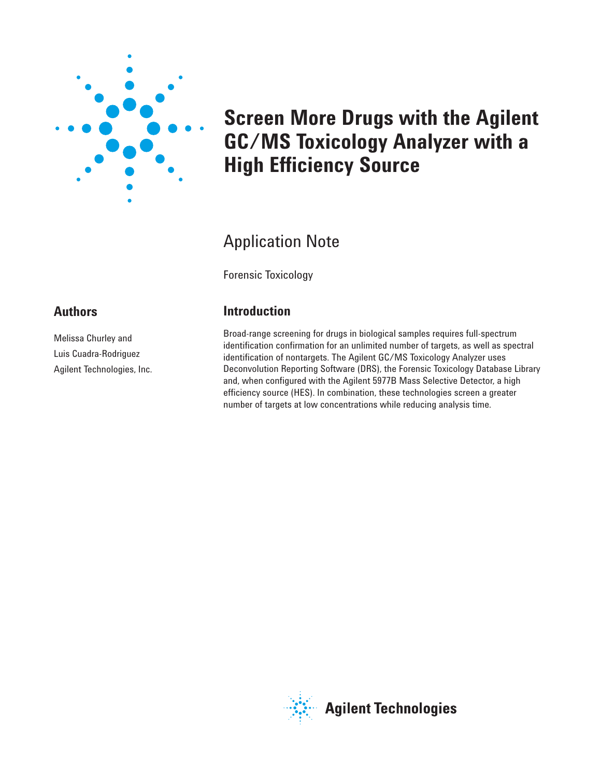

# **Screen More Drugs with the Agilent GC/MS Toxicology Analyzer with a High Efficiency Source**

## Application Note

Forensic Toxicology

### **Introduction**

Broad-range screening for drugs in biological samples requires full-spectrum identification confirmation for an unlimited number of targets, as well as spectral identification of nontargets. The Agilent GC/MS Toxicology Analyzer uses Deconvolution Reporting Software (DRS), the Forensic Toxicology Database Library and, when configured with the Agilent 5977B Mass Selective Detector, a high efficiency source (HES). In combination, these technologies screen a greater number of targets at low concentrations while reducing analysis time.

#### **Authors**

Melissa Churley and Luis Cuadra-Rodriguez Agilent Technologies, Inc.

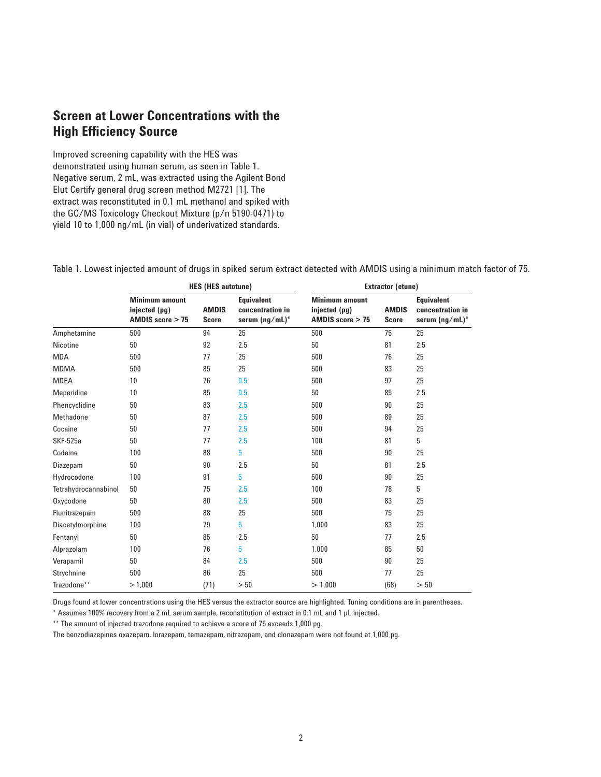#### **Screen at Lower Concentrations with the High Efficiency Source**

Improved screening capability with the HES was demonstrated using human serum, as seen in Table 1. Negative serum, 2 mL, was extracted using the Agilent Bond Elut Certify general drug screen method M2721 [1]. The extract was reconstituted in 0.1 mL methanol and spiked with the GC/MS Toxicology Checkout Mixture (p/n 5190-0471) to yield 10 to 1,000 ng/mL (in vial) of underivatized standards.

Table 1. Lowest injected amount of drugs in spiked serum extract detected with AMDIS using a minimum match factor of 75.

|                      | <b>HES (HES autotune)</b>                                    |                              |                                                         | Extractor (etune)                                            |                              |                                                         |
|----------------------|--------------------------------------------------------------|------------------------------|---------------------------------------------------------|--------------------------------------------------------------|------------------------------|---------------------------------------------------------|
|                      | <b>Minimum amount</b><br>injected (pg)<br>AMDIS score $>$ 75 | <b>AMDIS</b><br><b>Score</b> | <b>Equivalent</b><br>concentration in<br>serum (ng/mL)* | <b>Minimum amount</b><br>injected (pg)<br>AMDIS score $> 75$ | <b>AMDIS</b><br><b>Score</b> | <b>Equivalent</b><br>concentration in<br>serum (ng/mL)* |
| Amphetamine          | 500                                                          | 94                           | 25                                                      | 500                                                          | 75                           | 25                                                      |
| Nicotine             | 50                                                           | 92                           | 2.5                                                     | 50                                                           | 81                           | 2.5                                                     |
| MDA                  | 500                                                          | 77                           | 25                                                      | 500                                                          | 76                           | 25                                                      |
| <b>MDMA</b>          | 500                                                          | 85                           | 25                                                      | 500                                                          | 83                           | 25                                                      |
| MDEA                 | 10                                                           | 76                           | 0.5                                                     | 500                                                          | 97                           | 25                                                      |
| Meperidine           | 10                                                           | 85                           | 0.5                                                     | 50                                                           | 85                           | 2.5                                                     |
| Phencyclidine        | 50                                                           | 83                           | 2.5                                                     | 500                                                          | 90                           | 25                                                      |
| Methadone            | 50                                                           | 87                           | 2.5                                                     | 500                                                          | 89                           | 25                                                      |
| Cocaine              | 50                                                           | 77                           | 2.5                                                     | 500                                                          | 94                           | 25                                                      |
| <b>SKF-525a</b>      | 50                                                           | 77                           | 2.5                                                     | 100                                                          | 81                           | 5                                                       |
| Codeine              | 100                                                          | 88                           | 5                                                       | 500                                                          | 90                           | 25                                                      |
| Diazepam             | 50                                                           | 90                           | 2.5                                                     | 50                                                           | 81                           | 2.5                                                     |
| Hydrocodone          | 100                                                          | 91                           | 5                                                       | 500                                                          | 90                           | 25                                                      |
| Tetrahydrocannabinol | 50                                                           | 75                           | 2.5                                                     | 100                                                          | 78                           | 5                                                       |
| Oxycodone            | 50                                                           | 80                           | 2.5                                                     | 500                                                          | 83                           | 25                                                      |
| Flunitrazepam        | 500                                                          | 88                           | 25                                                      | 500                                                          | 75                           | 25                                                      |
| Diacetylmorphine     | 100                                                          | 79                           | 5                                                       | 1.000                                                        | 83                           | 25                                                      |
| Fentanyl             | 50                                                           | 85                           | 2.5                                                     | 50                                                           | 77                           | 2.5                                                     |
| Alprazolam           | 100                                                          | 76                           | 5                                                       | 1.000                                                        | 85                           | 50                                                      |
| Verapamil            | 50                                                           | 84                           | 2.5                                                     | 500                                                          | 90                           | 25                                                      |
| Strychnine           | 500                                                          | 86                           | 25                                                      | 500                                                          | 77                           | 25                                                      |
| Trazodone**          | > 1,000                                                      | (71)                         | > 50                                                    | > 1,000                                                      | (68)                         | > 50                                                    |

Drugs found at lower concentrations using the HES versus the extractor source are highlighted. Tuning conditions are in parentheses.

\* Assumes 100% recovery from a 2 mL serum sample, reconstitution of extract in 0.1 mL and 1 µL injected.

\*\* The amount of injected trazodone required to achieve a score of 75 exceeds 1,000 pg.

The benzodiazepines oxazepam, lorazepam, temazepam, nitrazepam, and clonazepam were not found at 1,000 pg.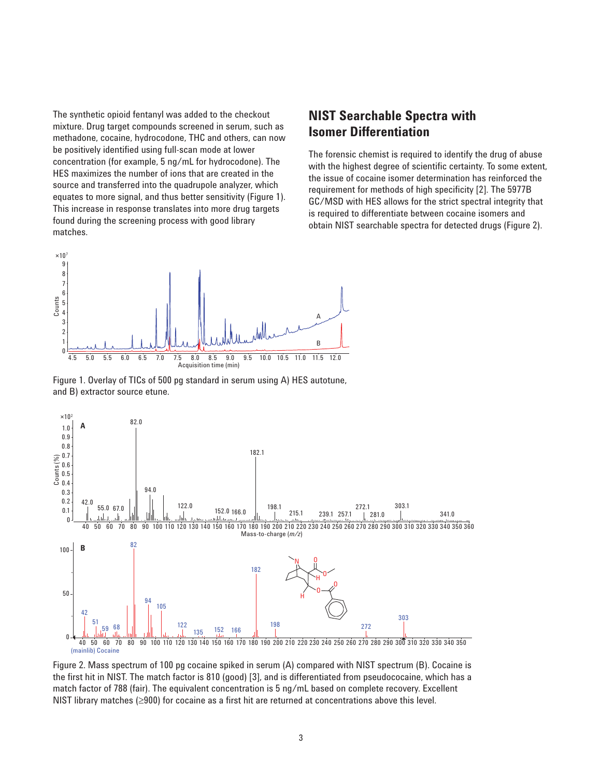The synthetic opioid fentanyl was added to the checkout mixture. Drug target compounds screened in serum, such as methadone, cocaine, hydrocodone, THC and others, can now be positively identified using full-scan mode at lower concentration (for example, 5 ng/mL for hydrocodone). The HES maximizes the number of ions that are created in the source and transferred into the quadrupole analyzer, which equates to more signal, and thus better sensitivity (Figure 1). This increase in response translates into more drug targets found during the screening process with good library matches.

#### **NIST Searchable Spectra with Isomer Differentiation**

The forensic chemist is required to identify the drug of abuse with the highest degree of scientific certainty. To some extent, the issue of cocaine isomer determination has reinforced the requirement for methods of high specificity [2]. The 5977B GC/MSD with HES allows for the strict spectral integrity that is required to differentiate between cocaine isomers and obtain NIST searchable spectra for detected drugs (Figure 2).



Figure 1. Overlay of TICs of 500 pg standard in serum using A) HES autotune, and B) extractor source etune.



Figure 2. Mass spectrum of 100 pg cocaine spiked in serum (A) compared with NIST spectrum (B). Cocaine is the first hit in NIST. The match factor is 810 (good) [3], and is differentiated from pseudococaine, which has a match factor of 788 (fair). The equivalent concentration is 5 ng/mL based on complete recovery. Excellent NIST library matches (≥900) for cocaine as a first hit are returned at concentrations above this level.